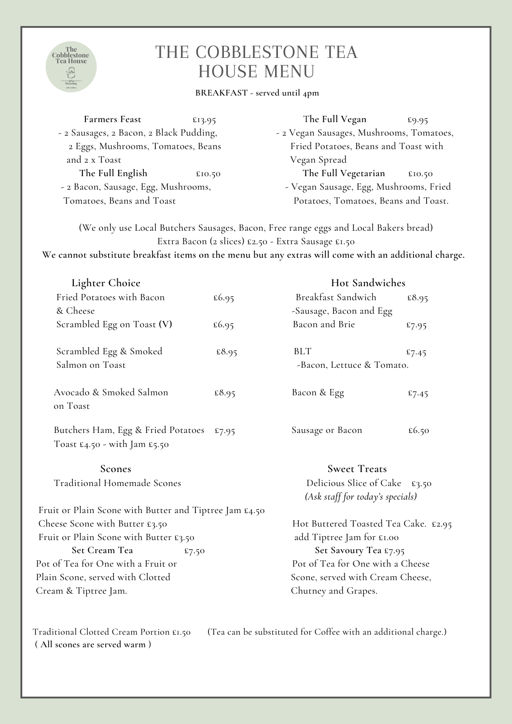

## THE COBBLESTONE TEA HOUSE MENU

## **BREAKFAST - served until 4pm**

| <b>Farmers Feast</b>                    | £13.95 | The Full Vegan                           | £9.95  |  |
|-----------------------------------------|--------|------------------------------------------|--------|--|
| - 2 Sausages, 2 Bacon, 2 Black Pudding, |        | - 2 Vegan Sausages, Mushrooms, Tomatoes, |        |  |
| 2 Eggs, Mushrooms, Tomatoes, Beans      |        | Fried Potatoes, Beans and Toast with     |        |  |
| and 2 x Toast                           |        | Vegan Spread                             |        |  |
| The Full English                        | £10.50 | The Full Vegetarian                      | £10.50 |  |
| - 2 Bacon, Sausage, Egg, Mushrooms,     |        | - Vegan Sausage, Egg, Mushrooms, Fried   |        |  |
| Tomatoes, Beans and Toast               |        | Potatoes, Tomatoes, Beans and Toast.     |        |  |

(We only use Local Butchers Sausages, Bacon, Free range eggs and Local Bakers bread) Extra Bacon (2 slices) £2.50 - Extra Sausage £1.50

**We cannot substitute breakfast items on the menu but any extras will come with an additional charge.**

| Lighter Choice                                                             |                                                                   | Hot Sandwiches            |       |  |
|----------------------------------------------------------------------------|-------------------------------------------------------------------|---------------------------|-------|--|
| Fried Potatoes with Bacon                                                  | £6.95                                                             | Breakfast Sandwich        | £8.95 |  |
| & Cheese                                                                   |                                                                   | -Sausage, Bacon and Egg   |       |  |
| Scrambled Egg on Toast (V)                                                 | £6.95                                                             | Bacon and Brie            | £7.95 |  |
| Scrambled Egg & Smoked                                                     | £8.95                                                             | <b>BLT</b>                | £7.45 |  |
| Salmon on Toast                                                            |                                                                   | -Bacon, Lettuce & Tomato. |       |  |
| Avocado & Smoked Salmon<br>on Toast                                        | £8.95                                                             | Bacon & Egg               | £7.45 |  |
| Butchers Ham, Egg & Fried Potatoes<br>Toast $E_4$ .50 - with Jam $E_5$ .50 | £7.95                                                             | Sausage or Bacon          | £6.50 |  |
| Scones                                                                     |                                                                   | <b>Sweet Treats</b>       |       |  |
| <b>Traditional Homemade Scones</b>                                         | Delicious Slice of Cake £3.50<br>(Ask staff for today's specials) |                           |       |  |
| Fruit or Plain Scone with Butter and Tiptree Jam £4.50                     |                                                                   |                           |       |  |
| Cheese Scone with Butter £3.50                                             | Hot Buttered Toasted Tea Cake. £2.95                              |                           |       |  |
| Fruit or Plain Scone with Butter £3.50                                     | add Tiptree Jam for £1.00                                         |                           |       |  |
| Set Cream Tea<br>£7.50                                                     | Set Savoury Tea £7.95                                             |                           |       |  |
| Pot of Tea for One with a Fruit or                                         | Pot of Tea for One with a Cheese                                  |                           |       |  |
| Plain Scone, served with Clotted                                           | Scone, served with Cream Cheese,                                  |                           |       |  |
| Cream & Tiptree Jam.                                                       | Chutney and Grapes.                                               |                           |       |  |
|                                                                            |                                                                   |                           |       |  |

Traditional Clotted Cream Portion £1.50 (Tea can be substituted for Coffee with an additional charge.) ( **All scones are served warm** )